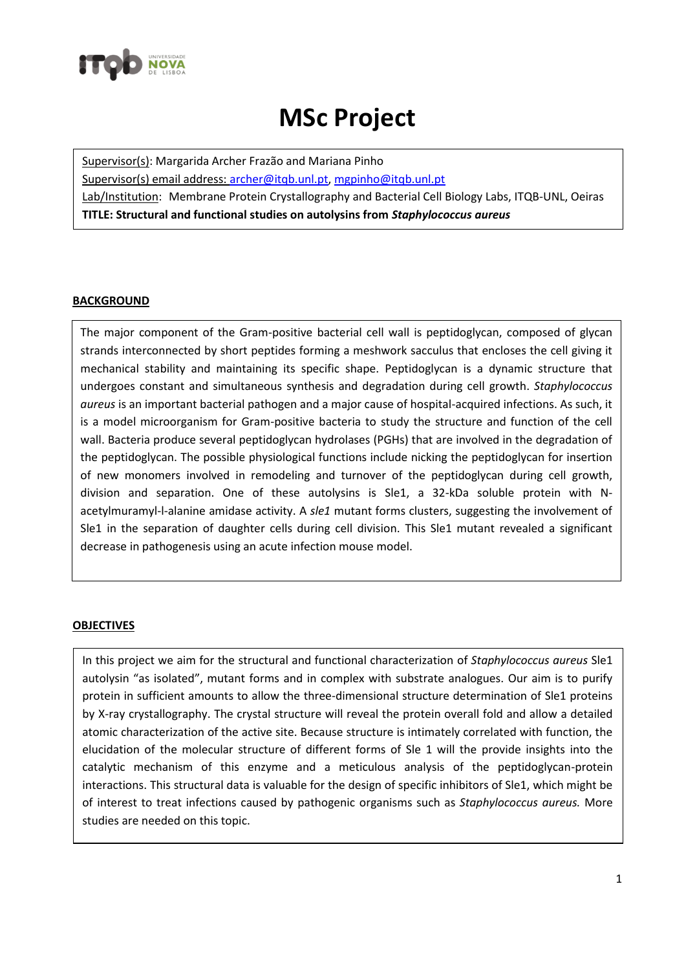

## **MSc Project**

Supervisor(s): Margarida Archer Frazão and Mariana Pinho Supervisor(s) email address: [archer@itqb.unl.pt,](mailto:archer@itqb.unl.pt) [mgpinho@itqb.unl.pt](mailto:mgpinho@itqb.unl.pt) Lab/Institution: Membrane Protein Crystallography and Bacterial Cell Biology Labs, ITQB-UNL, Oeiras **TITLE: Structural and functional studies on autolysins from** *Staphylococcus aureus*

## **BACKGROUND**

The major component of the Gram-positive bacterial cell wall is peptidoglycan, composed of glycan strands interconnected by short peptides forming a meshwork sacculus that encloses the cell giving it mechanical stability and maintaining its specific shape. Peptidoglycan is a dynamic structure that undergoes constant and simultaneous synthesis and degradation during cell growth. *Staphylococcus aureus* is an important bacterial pathogen and a major cause of hospital-acquired infections. As such, it is a model microorganism for Gram-positive bacteria to study the structure and function of the cell wall. Bacteria produce several peptidoglycan hydrolases (PGHs) that are involved in the degradation of the peptidoglycan. The possible physiological functions include nicking the peptidoglycan for insertion of new monomers involved in remodeling and turnover of the peptidoglycan during cell growth, division and separation. One of these autolysins is Sle1, a 32-kDa soluble protein with Nacetylmuramyl-l-alanine amidase activity. A *sle1* mutant forms clusters, suggesting the involvement of Sle1 in the separation of daughter cells during cell division. This Sle1 mutant revealed a significant decrease in pathogenesis using an acute infection mouse model.

## **OBJECTIVES**

In this project we aim for the structural and functional characterization of *Staphylococcus aureus* Sle1 autolysin "as isolated", mutant forms and in complex with substrate analogues. Our aim is to purify protein in sufficient amounts to allow the three-dimensional structure determination of Sle1 proteins by X-ray crystallography. The crystal structure will reveal the protein overall fold and allow a detailed atomic characterization of the active site. Because structure is intimately correlated with function, the elucidation of the molecular structure of different forms of Sle 1 will the provide insights into the catalytic mechanism of this enzyme and a meticulous analysis of the peptidoglycan-protein interactions. This structural data is valuable for the design of specific inhibitors of Sle1, which might be of interest to treat infections caused by pathogenic organisms such as *Staphylococcus aureus.* More studies are needed on this topic.